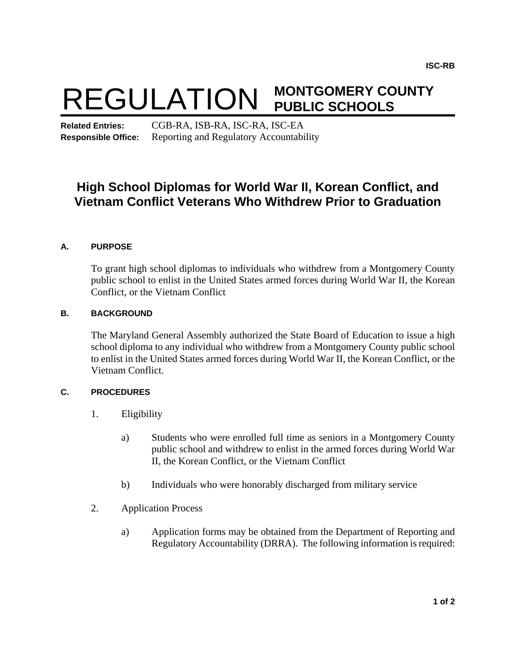# REGULATION **MONTGOMERY COUNTY PUBLIC SCHOOLS**

**Related Entries:** CGB-RA, ISB-RA, ISC-RA, ISC-EA **Responsible Office:** Reporting and Regulatory Accountability

# **High School Diplomas for World War II, Korean Conflict, and Vietnam Conflict Veterans Who Withdrew Prior to Graduation**

## **A. PURPOSE**

To grant high school diplomas to individuals who withdrew from a Montgomery County public school to enlist in the United States armed forces during World War II, the Korean Conflict, or the Vietnam Conflict

### **B. BACKGROUND**

The Maryland General Assembly authorized the State Board of Education to issue a high school diploma to any individual who withdrew from a Montgomery County public school to enlist in the United States armed forces during World War II, the Korean Conflict, or the Vietnam Conflict.

#### **C. PROCEDURES**

- 1. Eligibility
	- a) Students who were enrolled full time as seniors in a Montgomery County public school and withdrew to enlist in the armed forces during World War II, the Korean Conflict, or the Vietnam Conflict
	- b) Individuals who were honorably discharged from military service
- 2. Application Process
	- a) Application forms may be obtained from the Department of Reporting and Regulatory Accountability (DRRA). The following information is required: